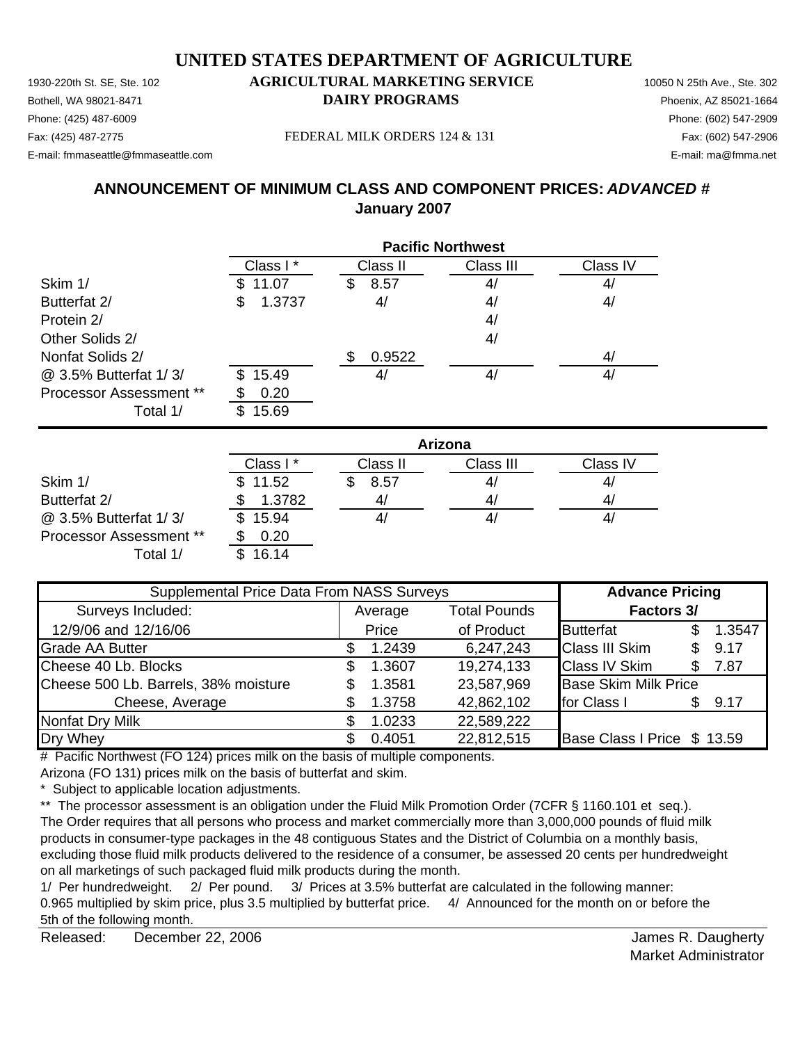1930-220th St. SE, Ste. 102 **AGRICULTURAL MARKETING SERVICE** 10050 N 25th Ave., Ste. 302 Bothell, WA 98021-8471 **DAIRY PROGRAMS** Phoenix, AZ 85021-1664

## Phone: (425) 487-6009 Phone: (602) 547-2909

E-mail: fmmaseattle@fmmaseattle.com E-mail: ma@fmma.net

Fax: (425) 487-2775 FEDERAL MILK ORDERS 124 & 131

## **ANNOUNCEMENT OF MINIMUM CLASS AND COMPONENT PRICES:** *ADVANCED #* **January 2007**

|                                | <b>Pacific Northwest</b> |           |           |                |
|--------------------------------|--------------------------|-----------|-----------|----------------|
|                                | Class I*                 | Class II  | Class III | Class IV       |
| Skim 1/                        | 11.07<br>S.              | 8.57<br>S | 4/        | 4 <sub>l</sub> |
| Butterfat 2/                   | 1.3737<br>\$             | 4/        | 4/        | 4/             |
| Protein 2/                     |                          |           | 4/        |                |
| Other Solids 2/                |                          |           | 4/        |                |
| Nonfat Solids 2/               |                          | 0.9522    |           | 4/             |
| @ 3.5% Butterfat 1/3/          | 15.49<br>\$.             | 4,        | 4/        | 41             |
| <b>Processor Assessment **</b> | 0.20                     |           |           |                |
| Total 1/                       | 15.69<br>\$.             |           |           |                |

|                                | Arizona      |          |           |          |  |
|--------------------------------|--------------|----------|-----------|----------|--|
|                                | Class I*     | Class II | Class III | Class IV |  |
| Skim 1/                        | \$11.52      | 8.57     | 41        | 41       |  |
| Butterfat 2/                   | 1.3782       | 41       | 4/        | 4        |  |
| @ 3.5% Butterfat 1/3/          | 15.94<br>\$. |          | 41        | 41       |  |
| <b>Processor Assessment **</b> | 0.20         |          |           |          |  |
| Total 1/                       | 16.14        |          |           |          |  |

| Supplemental Price Data From NASS Surveys |    |         |                     | <b>Advance Pricing</b>      |     |        |
|-------------------------------------------|----|---------|---------------------|-----------------------------|-----|--------|
| Surveys Included:                         |    | Average | <b>Total Pounds</b> | <b>Factors 3/</b>           |     |        |
| 12/9/06 and 12/16/06                      |    | Price   | of Product          | <b>Butterfat</b>            |     | 1.3547 |
| <b>Grade AA Butter</b>                    |    | 1.2439  | 6,247,243           | <b>Class III Skim</b>       | \$. | 9.17   |
| Cheese 40 Lb. Blocks                      | S  | 1.3607  | 19,274,133          | <b>Class IV Skim</b>        |     | 7.87   |
| Cheese 500 Lb. Barrels, 38% moisture      | \$ | 1.3581  | 23,587,969          | <b>Base Skim Milk Price</b> |     |        |
| Cheese, Average                           |    | 1.3758  | 42,862,102          | for Class I                 | \$. | 9.17   |
| Nonfat Dry Milk                           |    | 1.0233  | 22,589,222          |                             |     |        |
| Dry Whey                                  |    | 0.4051  | 22,812,515          | Base Class I Price \$ 13.59 |     |        |

# Pacific Northwest (FO 124) prices milk on the basis of multiple components.

Arizona (FO 131) prices milk on the basis of butterfat and skim.

\* Subject to applicable location adjustments.

\*\* The processor assessment is an obligation under the Fluid Milk Promotion Order (7CFR § 1160.101 et seq.). The Order requires that all persons who process and market commercially more than 3,000,000 pounds of fluid milk products in consumer-type packages in the 48 contiguous States and the District of Columbia on a monthly basis, excluding those fluid milk products delivered to the residence of a consumer, be assessed 20 cents per hundredweight on all marketings of such packaged fluid milk products during the month.

1/ Per hundredweight. 2/ Per pound. 3/ Prices at 3.5% butterfat are calculated in the following manner: 0.965 multiplied by skim price, plus 3.5 multiplied by butterfat price. 4/ Announced for the month on or before the 5th of the following month.

Released: December 22, 2006 **Contract Contract Contract Contract Contract Contract Contract Contract Contract Contract Contract Contract Contract Contract Contract Contract Contract Contract Contract Contract Contract Cont** December 22, 2006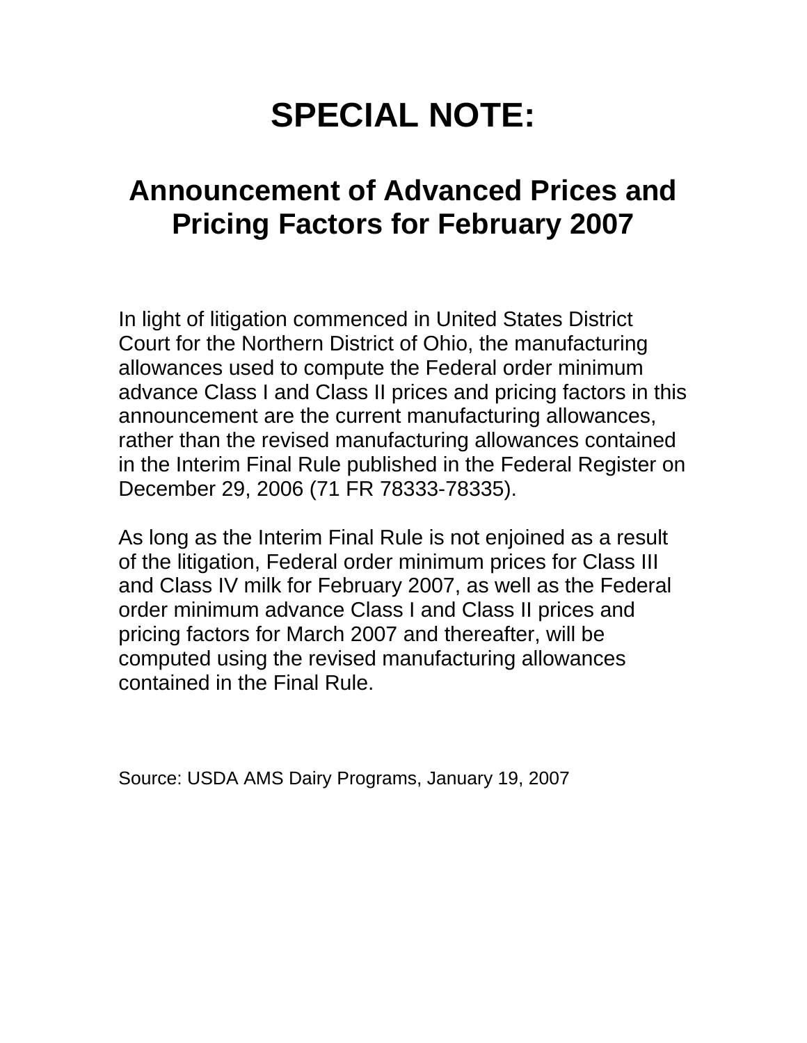# **SPECIAL NOTE:**

## **Announcement of Advanced Prices and Pricing Factors for February 2007**

In light of litigation commenced in United States District Court for the Northern District of Ohio, the manufacturing allowances used to compute the Federal order minimum advance Class I and Class II prices and pricing factors in this announcement are the current manufacturing allowances, rather than the revised manufacturing allowances contained in the Interim Final Rule published in the Federal Register on December 29, 2006 (71 FR 78333-78335).

As long as the Interim Final Rule is not enjoined as a result of the litigation, Federal order minimum prices for Class III and Class IV milk for February 2007, as well as the Federal order minimum advance Class I and Class II prices and pricing factors for March 2007 and thereafter, will be computed using the revised manufacturing allowances contained in the Final Rule.

Source: USDA AMS Dairy Programs, January 19, 2007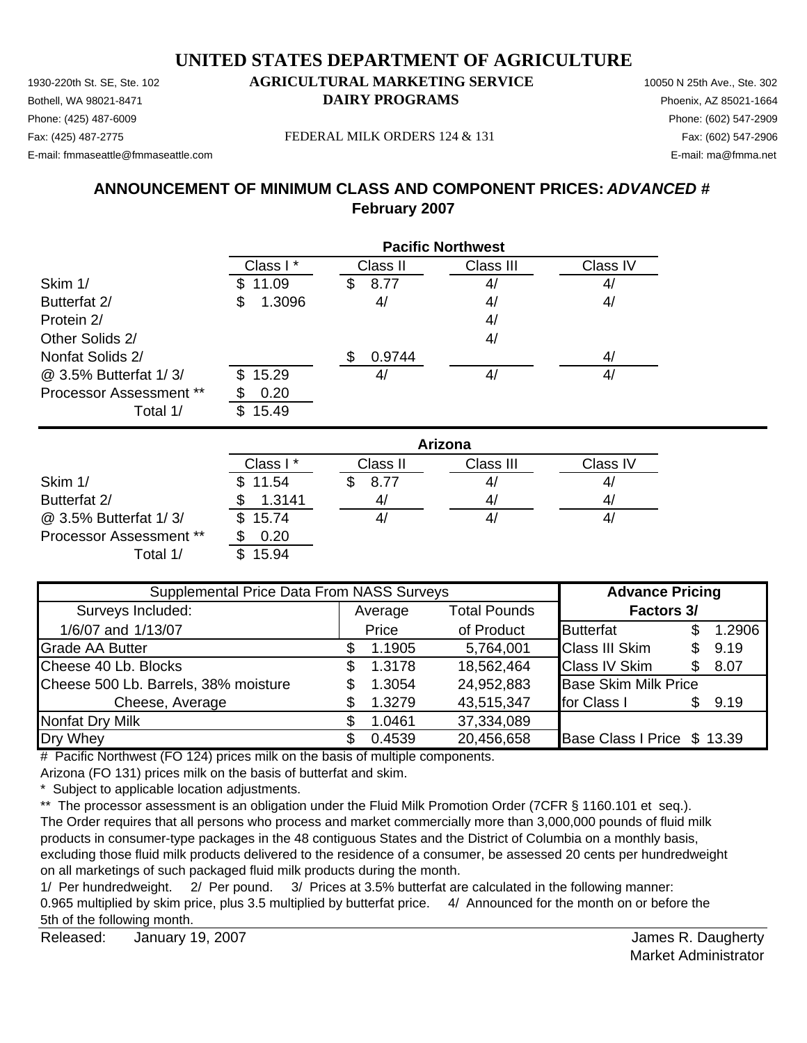Bothell, WA 98021-8471 **DAIRY PROGRAMS** Phoenix, AZ 85021-1664 Phone: (425) 487-6009 Phone: (602) 547-2909

#### Fax: (425) 487-2775 Fax: (602) 547-2906 FEDERAL MILK ORDERS 124 & 131

E-mail: fmmaseattle@fmmaseattle.com E-mail: ma@fmma.net

### **ANNOUNCEMENT OF MINIMUM CLASS AND COMPONENT PRICES:** *ADVANCED #* **February 2007**

|                                            | <b>Pacific Northwest</b> |                |           |                |  |  |  |
|--------------------------------------------|--------------------------|----------------|-----------|----------------|--|--|--|
|                                            | Class I*                 | Class II       | Class III | Class IV       |  |  |  |
| Skim 1/                                    | 11.09                    | 8.77<br>S      | 4/        | 4 <sub>l</sub> |  |  |  |
| Butterfat 2/                               | 1.3096<br>S              | 4/             | 4/        | 4/             |  |  |  |
| Protein 2/                                 |                          |                | 4/        |                |  |  |  |
| Other Solids 2/                            |                          |                | 4/        |                |  |  |  |
| Nonfat Solids 2/                           |                          | 0.9744         |           | 4/             |  |  |  |
| @ 3.5% Butterfat 1/3/                      | 15.29<br>\$.             | 4 <sub>l</sub> | 4/        | 4/             |  |  |  |
| <b>Processor Assessment **</b><br>Total 1/ | 0.20<br>15.49            |                |           |                |  |  |  |

|                                | Arizona  |          |           |          |  |  |
|--------------------------------|----------|----------|-----------|----------|--|--|
|                                | Class I* | Class II | Class III | Class IV |  |  |
| Skim 1/                        | \$11.54  | 8.77     | 4/        | 4,       |  |  |
| Butterfat 2/                   | 1.3141   |          | 4/        | 4,       |  |  |
| @ 3.5% Butterfat 1/3/          | \$15.74  |          | 4,        | 4,       |  |  |
| <b>Processor Assessment **</b> | 0.20     |          |           |          |  |  |
| Total 1/                       | 15.94    |          |           |          |  |  |

| Supplemental Price Data From NASS Surveys |    |         |                     | <b>Advance Pricing</b>      |     |        |
|-------------------------------------------|----|---------|---------------------|-----------------------------|-----|--------|
| Surveys Included:                         |    | Average | <b>Total Pounds</b> | <b>Factors 3/</b>           |     |        |
| 1/6/07 and 1/13/07                        |    | Price   | of Product          | <b>Butterfat</b>            |     | 1.2906 |
| <b>Grade AA Butter</b>                    |    | 1.1905  | 5,764,001           | <b>Class III Skim</b>       | \$. | 9.19   |
| Cheese 40 Lb. Blocks                      | \$ | 1.3178  | 18,562,464          | <b>Class IV Skim</b>        | \$. | 8.07   |
| Cheese 500 Lb. Barrels, 38% moisture      | \$ | 1.3054  | 24,952,883          | <b>Base Skim Milk Price</b> |     |        |
| Cheese, Average                           |    | 1.3279  | 43,515,347          | for Class I                 |     | 9.19   |
| Nonfat Dry Milk                           |    | 1.0461  | 37,334,089          |                             |     |        |
| Dry Whey                                  |    | 0.4539  | 20,456,658          | Base Class I Price \$ 13.39 |     |        |

# Pacific Northwest (FO 124) prices milk on the basis of multiple components.

Arizona (FO 131) prices milk on the basis of butterfat and skim.

\* Subject to applicable location adjustments.

\*\* The processor assessment is an obligation under the Fluid Milk Promotion Order (7CFR § 1160.101 et seq.). The Order requires that all persons who process and market commercially more than 3,000,000 pounds of fluid milk products in consumer-type packages in the 48 contiguous States and the District of Columbia on a monthly basis, excluding those fluid milk products delivered to the residence of a consumer, be assessed 20 cents per hundredweight on all marketings of such packaged fluid milk products during the month.

1/ Per hundredweight. 2/ Per pound. 3/ Prices at 3.5% butterfat are calculated in the following manner: 0.965 multiplied by skim price, plus 3.5 multiplied by butterfat price. 4/ Announced for the month on or before the 5th of the following month.

Released: James R. Daugherty January 19, 2007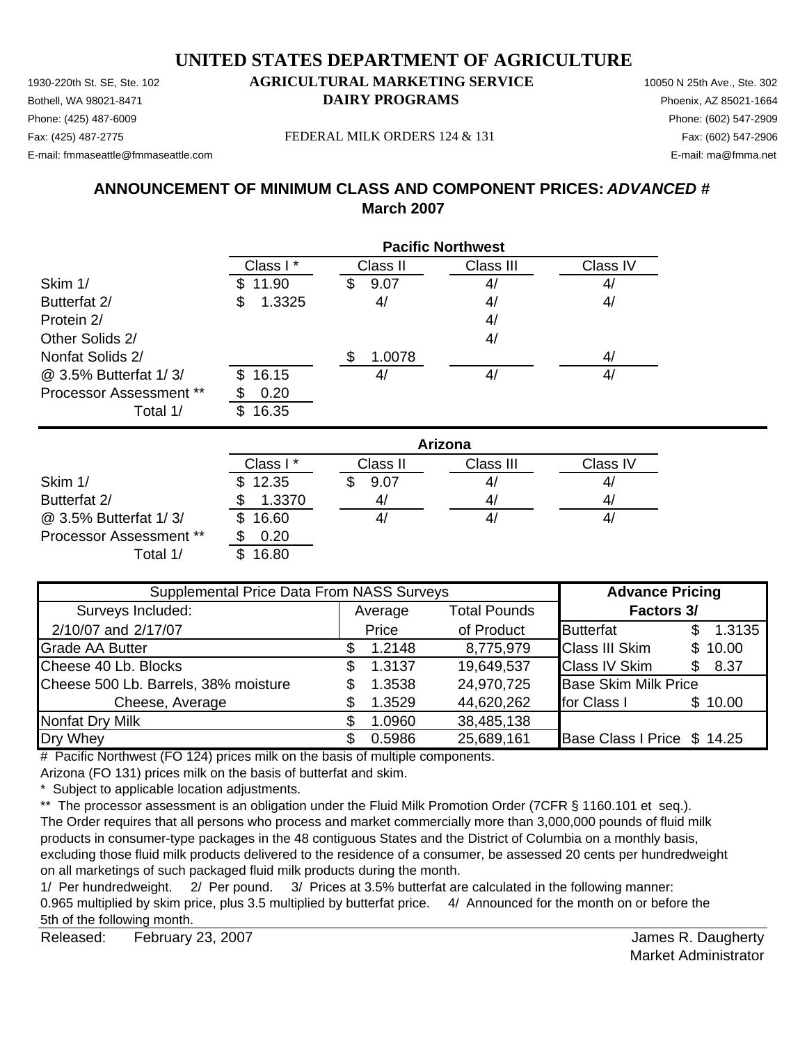1930-220th St. SE, Ste. 102 **AGRICULTURAL MARKETING SERVICE** 10050 N 25th Ave., Ste. 302 Bothell, WA 98021-8471 **DAIRY PROGRAMS** Phoenix, AZ 85021-1664 Fax: (425) 487-2775 Fax: (602) 547-2906 FEDERAL MILK ORDERS 124 & 131 E-mail: fmmaseattle@fmmaseattle.com E-mail: ma@fmma.net

## Phone: (425) 487-6009 Phone: (602) 547-2909

## **ANNOUNCEMENT OF MINIMUM CLASS AND COMPONENT PRICES:** *ADVANCED #* **March 2007**

|                         |              | <b>Pacific Northwest</b> |           |          |  |  |  |
|-------------------------|--------------|--------------------------|-----------|----------|--|--|--|
|                         | Class I*     | Class II                 | Class III | Class IV |  |  |  |
| Skim 1/                 | 11.90        | 9.07<br>S                | 4/        | 4/       |  |  |  |
| Butterfat 2/            | 1.3325<br>\$ | 4/                       | 4/        | 4/       |  |  |  |
| Protein 2/              |              |                          | 4/        |          |  |  |  |
| Other Solids 2/         |              |                          | 4/        |          |  |  |  |
| Nonfat Solids 2/        |              | 1.0078                   |           | 4/       |  |  |  |
| @ 3.5% Butterfat 1/3/   | 16.15<br>\$. | 4/                       | 4/        | 4/       |  |  |  |
| Processor Assessment ** | 0.20         |                          |           |          |  |  |  |
| Total 1/                | 16.35        |                          |           |          |  |  |  |

|                                | Arizona      |          |           |          |  |  |
|--------------------------------|--------------|----------|-----------|----------|--|--|
|                                | Class I*     | Class II | Class III | Class IV |  |  |
| Skim 1/                        | \$12.35      | 9.07     | 41        | 4,       |  |  |
| Butterfat 2/                   | 1.3370       | 41       | 41        | 4,       |  |  |
| @ 3.5% Butterfat 1/3/          | 16.60<br>\$. |          | 41        | 4,       |  |  |
| <b>Processor Assessment **</b> | 0.20         |          |           |          |  |  |
| Total 1/                       | 16.80        |          |           |          |  |  |

| Supplemental Price Data From NASS Surveys |    |         |                     | <b>Advance Pricing</b>      |     |         |
|-------------------------------------------|----|---------|---------------------|-----------------------------|-----|---------|
| Surveys Included:                         |    | Average | <b>Total Pounds</b> | <b>Factors 3/</b>           |     |         |
| 2/10/07 and 2/17/07                       |    | Price   | of Product          | <b>Butterfat</b>            |     | 1.3135  |
| <b>Grade AA Butter</b>                    |    | 1.2148  | 8,775,979           | <b>Class III Skim</b>       |     | \$10.00 |
| Cheese 40 Lb. Blocks                      | \$ | 1.3137  | 19,649,537          | <b>Class IV Skim</b>        | \$. | 8.37    |
| Cheese 500 Lb. Barrels, 38% moisture      | \$ | 1.3538  | 24,970,725          | <b>Base Skim Milk Price</b> |     |         |
| Cheese, Average                           |    | 1.3529  | 44,620,262          | for Class I                 |     | \$10.00 |
| Nonfat Dry Milk                           |    | 1.0960  | 38,485,138          |                             |     |         |
| Dry Whey                                  |    | 0.5986  | 25,689,161          | Base Class I Price \$ 14.25 |     |         |

# Pacific Northwest (FO 124) prices milk on the basis of multiple components.

Arizona (FO 131) prices milk on the basis of butterfat and skim.

\* Subject to applicable location adjustments.

\*\* The processor assessment is an obligation under the Fluid Milk Promotion Order (7CFR § 1160.101 et seq.). The Order requires that all persons who process and market commercially more than 3,000,000 pounds of fluid milk products in consumer-type packages in the 48 contiguous States and the District of Columbia on a monthly basis, excluding those fluid milk products delivered to the residence of a consumer, be assessed 20 cents per hundredweight on all marketings of such packaged fluid milk products during the month.

1/ Per hundredweight. 2/ Per pound. 3/ Prices at 3.5% butterfat are calculated in the following manner: 0.965 multiplied by skim price, plus 3.5 multiplied by butterfat price. 4/ Announced for the month on or before the 5th of the following month.

Released: February 23, 2007 **Contract Contract Contract Contract Contract Contract Contract Contract Contract Contract Contract Contract Contract Contract Contract Contract Contract Contract Contract Contract Contract Cont** February 23, 2007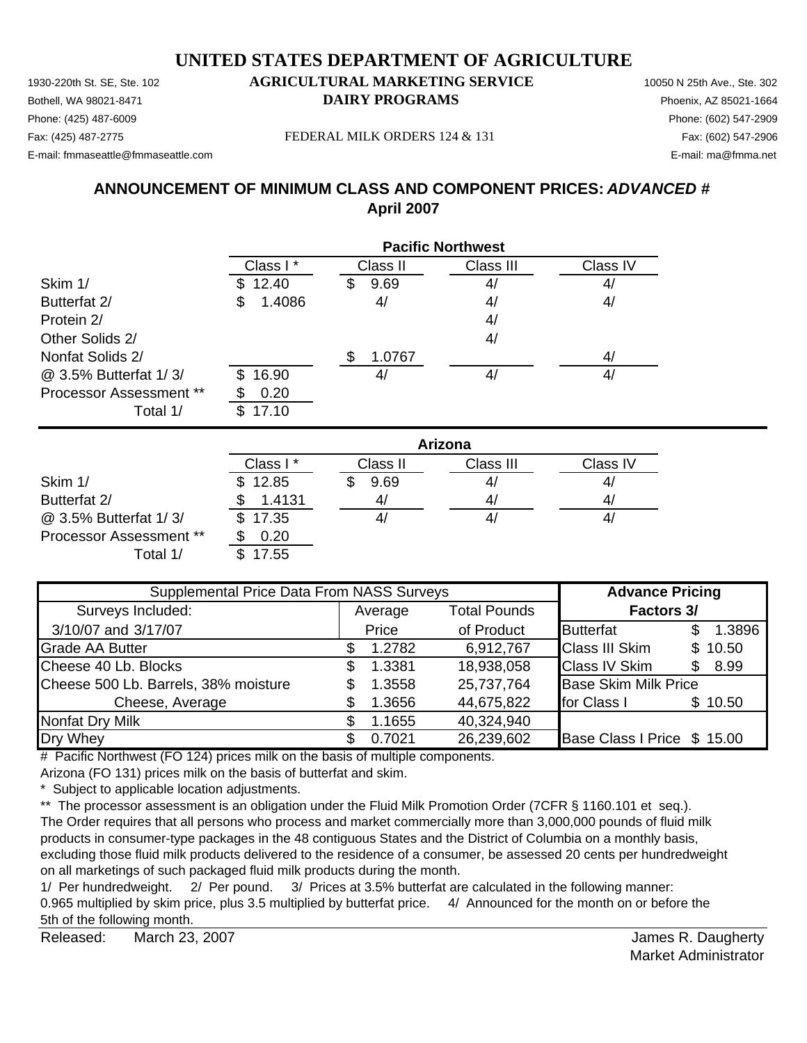Bothell, WA 98021-8471 **DAIRY PROGRAMS** Phoenix, AZ 85021-1664 Phone: (425) 487-6009 Phone: (602) 547-2909 Fax: (425) 487-2775 Fax: (602) 547-2906 FEDERAL MILK ORDERS 124 & 131

E-mail: fmmaseattle@fmmaseattle.com E-mail: ma@fmma.net

## **ANNOUNCEMENT OF MINIMUM CLASS AND COMPONENT PRICES:** *ADVANCED #* **April 2007**

|                                | <b>Pacific Northwest</b> |           |           |                |  |  |
|--------------------------------|--------------------------|-----------|-----------|----------------|--|--|
|                                | Class I*                 | Class II  | Class III | Class IV       |  |  |
| Skim 1/                        | \$12.40                  | 9.69<br>S | 4/        | 4 <sub>l</sub> |  |  |
| Butterfat 2/                   | 1.4086<br>\$             | 4/        | 4/        | 4/             |  |  |
| Protein 2/                     |                          |           | 4/        |                |  |  |
| Other Solids 2/                |                          |           | 4/        |                |  |  |
| Nonfat Solids 2/               |                          | 1.0767    |           | 4/             |  |  |
| @ 3.5% Butterfat 1/3/          | 16.90<br>\$.             | 4,        | 4/        | 4/             |  |  |
| <b>Processor Assessment **</b> | 0.20                     |           |           |                |  |  |
| Total 1/                       | 17.10                    |           |           |                |  |  |

|                                | Arizona  |          |           |          |  |
|--------------------------------|----------|----------|-----------|----------|--|
|                                | Class I* | Class II | Class III | Class IV |  |
| Skim 1/                        | \$12.85  | 9.69     | 4/        | 41       |  |
| Butterfat 2/                   | 1.4131   |          | 4/        | 41       |  |
| @ 3.5% Butterfat 1/3/          | \$17.35  |          | 41        | 41       |  |
| <b>Processor Assessment **</b> | 0.20     |          |           |          |  |
| Total 1/                       | 7.55     |          |           |          |  |

| Supplemental Price Data From NASS Surveys |    |         |                     | <b>Advance Pricing</b>      |     |         |
|-------------------------------------------|----|---------|---------------------|-----------------------------|-----|---------|
| Surveys Included:                         |    | Average | <b>Total Pounds</b> | <b>Factors 3/</b>           |     |         |
| 3/10/07 and 3/17/07                       |    | Price   | of Product          | <b>Butterfat</b>            |     | 1.3896  |
| <b>Grade AA Butter</b>                    |    | 1.2782  | 6,912,767           | <b>Class III Skim</b>       |     | \$10.50 |
| Cheese 40 Lb. Blocks                      | \$ | 1.3381  | 18,938,058          | <b>Class IV Skim</b>        | \$. | 8.99    |
| Cheese 500 Lb. Barrels, 38% moisture      |    | 1.3558  | 25,737,764          | <b>Base Skim Milk Price</b> |     |         |
| Cheese, Average                           |    | 1.3656  | 44,675,822          | for Class I                 |     | \$10.50 |
| Nonfat Dry Milk                           |    | 1.1655  | 40,324,940          |                             |     |         |
| Dry Whey                                  |    | 0.7021  | 26,239,602          | Base Class I Price \$ 15.00 |     |         |

# Pacific Northwest (FO 124) prices milk on the basis of multiple components.

Arizona (FO 131) prices milk on the basis of butterfat and skim.

\* Subject to applicable location adjustments.

\*\* The processor assessment is an obligation under the Fluid Milk Promotion Order (7CFR § 1160.101 et seq.). The Order requires that all persons who process and market commercially more than 3,000,000 pounds of fluid milk products in consumer-type packages in the 48 contiguous States and the District of Columbia on a monthly basis, excluding those fluid milk products delivered to the residence of a consumer, be assessed 20 cents per hundredweight on all marketings of such packaged fluid milk products during the month.

1/ Per hundredweight. 2/ Per pound. 3/ Prices at 3.5% butterfat are calculated in the following manner: 0.965 multiplied by skim price, plus 3.5 multiplied by butterfat price. 4/ Announced for the month on or before the 5th of the following month.

Released: March 23, 2007 **Matter and Strutter Controllering Controllering Controllering Controllering Controllering Controllering Controllering Controllering Controllering Controllering Controllering Controllering Controll** March 23, 2007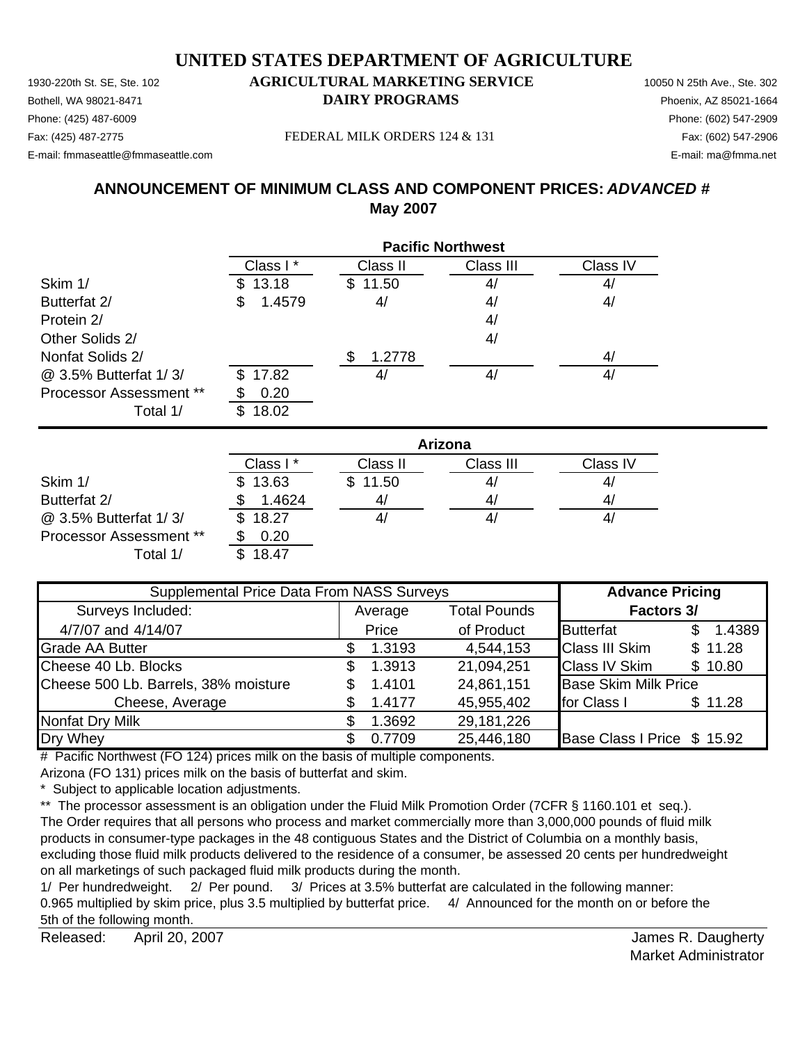1930-220th St. SE, Ste. 102 **AGRICULTURAL MARKETING SERVICE** 10050 N 25th Ave., Ste. 302 Bothell, WA 98021-8471 **DAIRY PROGRAMS** Phoenix, AZ 85021-1664

## Phone: (425) 487-6009 Phone: (602) 547-2909

E-mail: fmmaseattle@fmmaseattle.com E-mail: ma@fmma.net

Fax: (425) 487-2775 FEDERAL MILK ORDERS 124 & 131

## **ANNOUNCEMENT OF MINIMUM CLASS AND COMPONENT PRICES:** *ADVANCED #* **May 2007**

|                                | <b>Pacific Northwest</b> |             |           |          |  |
|--------------------------------|--------------------------|-------------|-----------|----------|--|
|                                | Class I*                 | Class II    | Class III | Class IV |  |
| Skim 1/                        | 13.18<br>\$.             | 11.50<br>S. | 4/        | 4/       |  |
| Butterfat 2/                   | 1.4579<br>\$             | 4/          | 4/        | 4/       |  |
| Protein 2/                     |                          |             | 4/        |          |  |
| Other Solids 2/                |                          |             | 4/        |          |  |
| Nonfat Solids 2/               |                          | 1.2778      |           | 4/       |  |
| @ 3.5% Butterfat 1/3/          | 17.82<br>\$              | 4,          | 4/        | 41       |  |
| <b>Processor Assessment **</b> | 0.20                     |             |           |          |  |
| Total 1/                       | 18.02<br>\$.             |             |           |          |  |

|                                | Arizona  |          |           |                |  |
|--------------------------------|----------|----------|-----------|----------------|--|
|                                | Class I* | Class II | Class III | Class IV       |  |
| Skim 1/                        | \$13.63  | \$11.50  | 4/        | 4,             |  |
| Butterfat 2/                   | 1.4624   | 41       | 4/        | 4 <sub>l</sub> |  |
| @ 3.5% Butterfat 1/3/          | 18.27    |          | 41        | 4,             |  |
| <b>Processor Assessment **</b> | 0.20     |          |           |                |  |
| Total 1/                       | 18.47    |          |           |                |  |

| Supplemental Price Data From NASS Surveys | <b>Advance Pricing</b>         |        |                   |                             |         |
|-------------------------------------------|--------------------------------|--------|-------------------|-----------------------------|---------|
| Surveys Included:                         | <b>Total Pounds</b><br>Average |        | <b>Factors 3/</b> |                             |         |
| 4/7/07 and 4/14/07                        |                                | Price  | of Product        | <b>Butterfat</b>            | 1.4389  |
| <b>Grade AA Butter</b>                    |                                | 1.3193 | 4,544,153         | <b>Class III Skim</b>       | \$11.28 |
| Cheese 40 Lb. Blocks                      | \$.                            | 1.3913 | 21,094,251        | <b>Class IV Skim</b>        | \$10.80 |
| Cheese 500 Lb. Barrels, 38% moisture      | \$.                            | 1.4101 | 24,861,151        | <b>Base Skim Milk Price</b> |         |
| Cheese, Average                           |                                | 1.4177 | 45,955,402        | for Class I                 | \$11.28 |
| Nonfat Dry Milk                           |                                | 1.3692 | 29,181,226        |                             |         |
| Dry Whey                                  |                                | 0.7709 | 25,446,180        | Base Class I Price \$ 15.92 |         |

# Pacific Northwest (FO 124) prices milk on the basis of multiple components.

Arizona (FO 131) prices milk on the basis of butterfat and skim.

\* Subject to applicable location adjustments.

\*\* The processor assessment is an obligation under the Fluid Milk Promotion Order (7CFR § 1160.101 et seq.). The Order requires that all persons who process and market commercially more than 3,000,000 pounds of fluid milk products in consumer-type packages in the 48 contiguous States and the District of Columbia on a monthly basis, excluding those fluid milk products delivered to the residence of a consumer, be assessed 20 cents per hundredweight on all marketings of such packaged fluid milk products during the month.

1/ Per hundredweight. 2/ Per pound. 3/ Prices at 3.5% butterfat are calculated in the following manner: 0.965 multiplied by skim price, plus 3.5 multiplied by butterfat price. 4/ Announced for the month on or before the 5th of the following month.

Released: April 20, 2007 **Accord Provident Accord Provident** Accord Provident Accord Provident Accord Provident Accord Provident Accord Provident Accord Provident Accord Provident Accord Provident Accord Provident Accord P April 20, 2007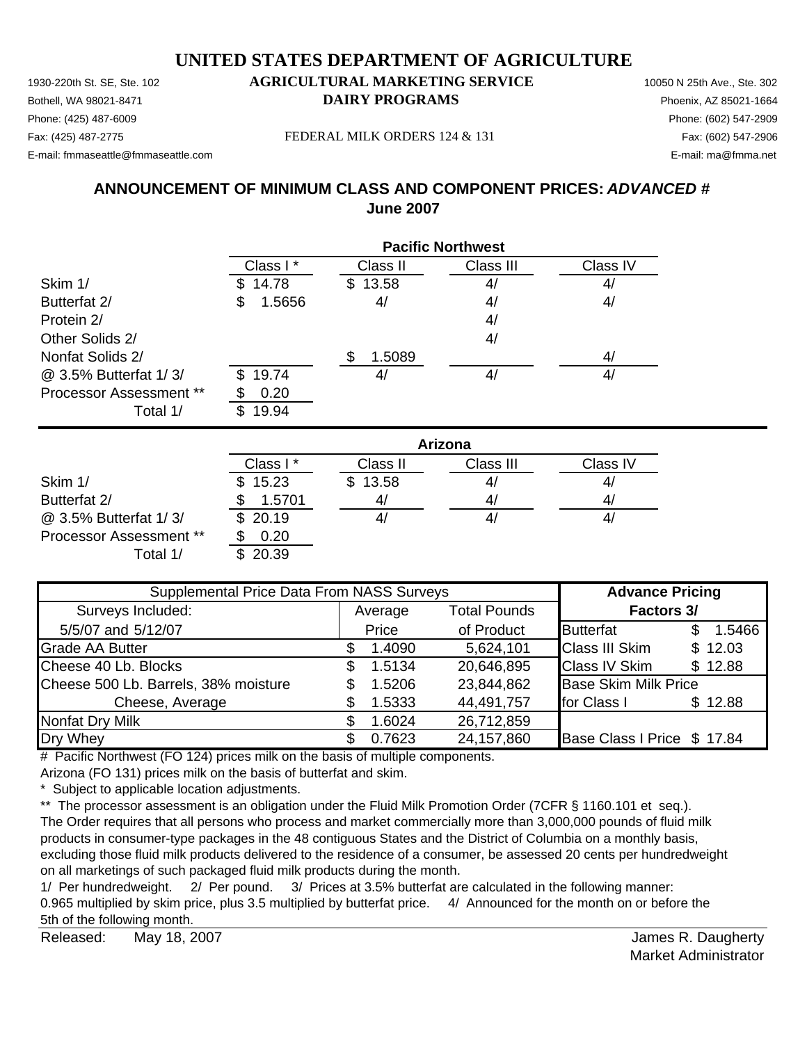Bothell, WA 98021-8471 **DAIRY PROGRAMS** Phoenix, AZ 85021-1664 Phone: (425) 487-6009 Phone: (602) 547-2909 Fax: (425) 487-2775 Fax: (602) 547-2906 FEDERAL MILK ORDERS 124 & 131

E-mail: fmmaseattle@fmmaseattle.com E-mail: ma@fmma.net

### **ANNOUNCEMENT OF MINIMUM CLASS AND COMPONENT PRICES:** *ADVANCED #* **June 2007**

|                                | <b>Pacific Northwest</b> |             |           |          |  |
|--------------------------------|--------------------------|-------------|-----------|----------|--|
|                                | Class I*                 | Class II    | Class III | Class IV |  |
| Skim 1/                        | 14.78                    | 13.58<br>S. | 4/        | 4/       |  |
| Butterfat 2/                   | 1.5656<br>\$             | 4/          | 4/        | 4/       |  |
| Protein 2/                     |                          |             | 4/        |          |  |
| Other Solids 2/                |                          |             | 4/        |          |  |
| Nonfat Solids 2/               |                          | 1.5089      |           | 4/       |  |
| @ 3.5% Butterfat 1/3/          | 19.74<br>\$.             | 4,          | 4/        | 4/       |  |
| <b>Processor Assessment **</b> | 0.20                     |             |           |          |  |
| Total 1/                       | 19.94                    |             |           |          |  |

|                         | Arizona  |          |           |          |  |
|-------------------------|----------|----------|-----------|----------|--|
|                         | Class I* | Class II | Class III | Class IV |  |
| Skim 1/                 | \$15.23  | \$13.58  | 41        | 4,       |  |
| Butterfat 2/            | 1.5701   |          | 41        | 4/       |  |
| @ 3.5% Butterfat 1/3/   | \$20.19  |          | 41        | 4,       |  |
| Processor Assessment ** | 0.20     |          |           |          |  |
| Total 1/                | \$20.39  |          |           |          |  |

| Supplemental Price Data From NASS Surveys |    |                                |            | <b>Advance Pricing</b>      |  |         |  |  |  |  |  |  |  |  |  |  |  |                   |  |  |
|-------------------------------------------|----|--------------------------------|------------|-----------------------------|--|---------|--|--|--|--|--|--|--|--|--|--|--|-------------------|--|--|
| Surveys Included:                         |    | <b>Total Pounds</b><br>Average |            |                             |  |         |  |  |  |  |  |  |  |  |  |  |  | <b>Factors 3/</b> |  |  |
| 5/5/07 and 5/12/07                        |    | Price                          | of Product | <b>Butterfat</b>            |  | 1.5466  |  |  |  |  |  |  |  |  |  |  |  |                   |  |  |
| <b>Grade AA Butter</b>                    |    | 1.4090                         | 5,624,101  | <b>Class III Skim</b>       |  | \$12.03 |  |  |  |  |  |  |  |  |  |  |  |                   |  |  |
| Cheese 40 Lb. Blocks                      | \$ | 1.5134                         | 20,646,895 | <b>Class IV Skim</b>        |  | \$12.88 |  |  |  |  |  |  |  |  |  |  |  |                   |  |  |
| Cheese 500 Lb. Barrels, 38% moisture      | \$ | 1.5206                         | 23,844,862 | <b>Base Skim Milk Price</b> |  |         |  |  |  |  |  |  |  |  |  |  |  |                   |  |  |
| Cheese, Average                           |    | 1.5333                         | 44,491,757 | for Class I                 |  | \$12.88 |  |  |  |  |  |  |  |  |  |  |  |                   |  |  |
| <b>Nonfat Dry Milk</b>                    | \$ | 1.6024                         | 26,712,859 |                             |  |         |  |  |  |  |  |  |  |  |  |  |  |                   |  |  |
| Dry Whey                                  |    | 0.7623                         | 24,157,860 | Base Class I Price \$17.84  |  |         |  |  |  |  |  |  |  |  |  |  |  |                   |  |  |

# Pacific Northwest (FO 124) prices milk on the basis of multiple components.

Arizona (FO 131) prices milk on the basis of butterfat and skim.

\* Subject to applicable location adjustments.

\*\* The processor assessment is an obligation under the Fluid Milk Promotion Order (7CFR § 1160.101 et seq.). The Order requires that all persons who process and market commercially more than 3,000,000 pounds of fluid milk products in consumer-type packages in the 48 contiguous States and the District of Columbia on a monthly basis, excluding those fluid milk products delivered to the residence of a consumer, be assessed 20 cents per hundredweight on all marketings of such packaged fluid milk products during the month.

1/ Per hundredweight. 2/ Per pound. 3/ Prices at 3.5% butterfat are calculated in the following manner: 0.965 multiplied by skim price, plus 3.5 multiplied by butterfat price. 4/ Announced for the month on or before the 5th of the following month.

Released: May 18, 2007 **Network** Released: May 18, 2007 May 18, 2007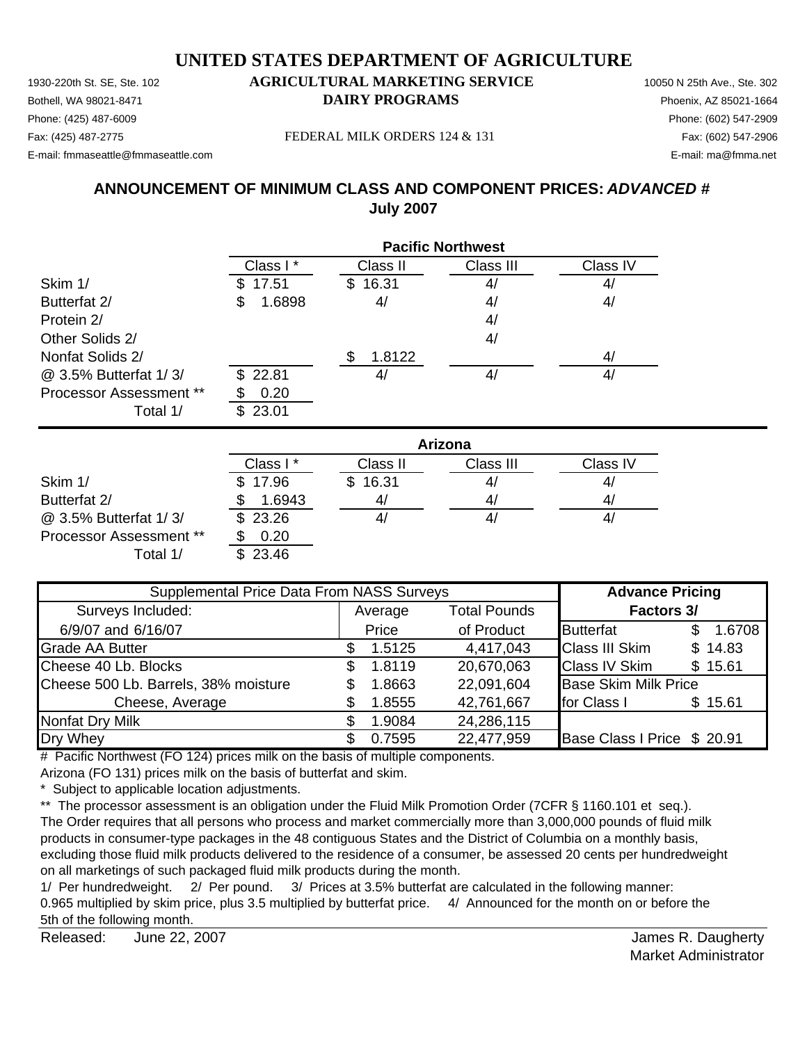1930-220th St. SE, Ste. 102 **AGRICULTURAL MARKETING SERVICE** 10050 N 25th Ave., Ste. 302 Bothell, WA 98021-8471 **DAIRY PROGRAMS** Phoenix, AZ 85021-1664

## Phone: (425) 487-6009 Phone: (602) 547-2909

E-mail: fmmaseattle@fmmaseattle.com E-mail: ma@fmma.net

Fax: (425) 487-2775 Fax: (602) 547-2906 FEDERAL MILK ORDERS 124 & 131

## **ANNOUNCEMENT OF MINIMUM CLASS AND COMPONENT PRICES:** *ADVANCED #* **July 2007**

|                         | <b>Pacific Northwest</b> |                |           |          |  |
|-------------------------|--------------------------|----------------|-----------|----------|--|
|                         | Class I*                 | Class II       | Class III | Class IV |  |
| Skim 1/                 | 17.51                    | 16.31<br>S     | 4/        | 4/       |  |
| Butterfat 2/            | 1.6898<br>\$             | 4/             | 4/        | 4/       |  |
| Protein 2/              |                          |                | 4/        |          |  |
| Other Solids 2/         |                          |                | 4/        |          |  |
| Nonfat Solids 2/        |                          | 1.8122         |           | 4/       |  |
| @ 3.5% Butterfat 1/3/   | \$22.81                  | 4 <sub>l</sub> | 4/        | 4,       |  |
| Processor Assessment ** | 0.20                     |                |           |          |  |
| Total 1/                | 23.01<br>\$.             |                |           |          |  |

|                                | Arizona              |          |           |          |  |
|--------------------------------|----------------------|----------|-----------|----------|--|
|                                | Class I <sup>*</sup> | Class II | Class III | Class IV |  |
| Skim 1/                        | \$17.96              | \$16.31  | 4/        | 41       |  |
| Butterfat 2/                   | 1.6943               | 41       | 4/        | 4/       |  |
| @ 3.5% Butterfat 1/3/          | \$23.26              |          | 41        | 41       |  |
| <b>Processor Assessment **</b> | 0.20                 |          |           |          |  |
| Total 1/                       | \$23.46              |          |           |          |  |

| Supplemental Price Data From NASS Surveys | <b>Advance Pricing</b>         |        |            |                             |         |  |  |  |  |  |  |  |  |  |  |  |                   |
|-------------------------------------------|--------------------------------|--------|------------|-----------------------------|---------|--|--|--|--|--|--|--|--|--|--|--|-------------------|
| Surveys Included:                         | <b>Total Pounds</b><br>Average |        |            |                             |         |  |  |  |  |  |  |  |  |  |  |  | <b>Factors 3/</b> |
| 6/9/07 and 6/16/07                        |                                | Price  | of Product | <b>Butterfat</b>            | 1.6708  |  |  |  |  |  |  |  |  |  |  |  |                   |
| <b>Grade AA Butter</b>                    |                                | 1.5125 | 4,417,043  | <b>Class III Skim</b>       | \$14.83 |  |  |  |  |  |  |  |  |  |  |  |                   |
| Cheese 40 Lb. Blocks                      | \$                             | 1.8119 | 20,670,063 | <b>Class IV Skim</b>        | \$15.61 |  |  |  |  |  |  |  |  |  |  |  |                   |
| Cheese 500 Lb. Barrels, 38% moisture      |                                | 1.8663 | 22,091,604 | <b>Base Skim Milk Price</b> |         |  |  |  |  |  |  |  |  |  |  |  |                   |
| Cheese, Average                           |                                | 1.8555 | 42,761,667 | for Class I                 | \$15.61 |  |  |  |  |  |  |  |  |  |  |  |                   |
| <b>Nonfat Dry Milk</b>                    |                                | 1.9084 | 24,286,115 |                             |         |  |  |  |  |  |  |  |  |  |  |  |                   |
| Dry Whey                                  |                                | 0.7595 | 22,477,959 | Base Class I Price \$ 20.91 |         |  |  |  |  |  |  |  |  |  |  |  |                   |

# Pacific Northwest (FO 124) prices milk on the basis of multiple components.

Arizona (FO 131) prices milk on the basis of butterfat and skim.

\* Subject to applicable location adjustments.

\*\* The processor assessment is an obligation under the Fluid Milk Promotion Order (7CFR § 1160.101 et seq.). The Order requires that all persons who process and market commercially more than 3,000,000 pounds of fluid milk products in consumer-type packages in the 48 contiguous States and the District of Columbia on a monthly basis, excluding those fluid milk products delivered to the residence of a consumer, be assessed 20 cents per hundredweight on all marketings of such packaged fluid milk products during the month.

1/ Per hundredweight. 2/ Per pound. 3/ Prices at 3.5% butterfat are calculated in the following manner: 0.965 multiplied by skim price, plus 3.5 multiplied by butterfat price. 4/ Announced for the month on or before the 5th of the following month.

Released: James R. Daugherty June 22, 2007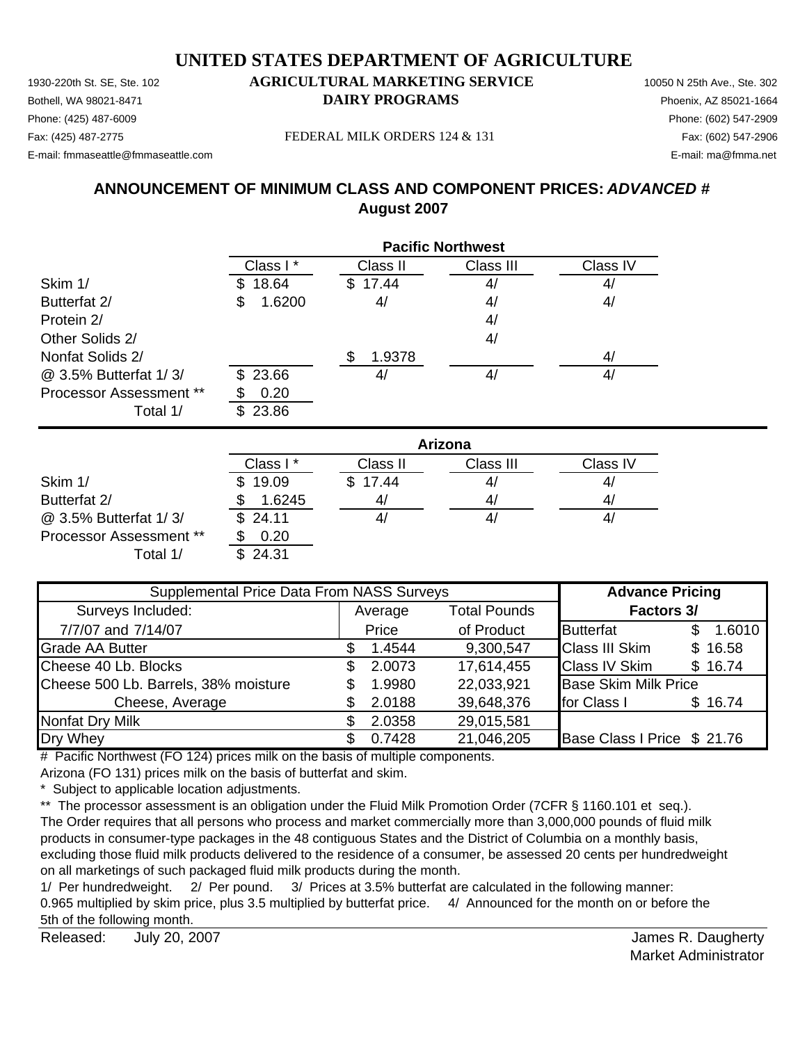1930-220th St. SE, Ste. 102 **AGRICULTURAL MARKETING SERVICE** 10050 N 25th Ave., Ste. 302 Bothell, WA 98021-8471 **DAIRY PROGRAMS** Phoenix, AZ 85021-1664

## Phone: (425) 487-6009 Phone: (602) 547-2909

E-mail: fmmaseattle@fmmaseattle.com E-mail: ma@fmma.net

Fax: (425) 487-2775 Fax: (602) 547-2906 FEDERAL MILK ORDERS 124 & 131

## **ANNOUNCEMENT OF MINIMUM CLASS AND COMPONENT PRICES:** *ADVANCED #* **August 2007**

|                         | <b>Pacific Northwest</b> |                |           |          |  |
|-------------------------|--------------------------|----------------|-----------|----------|--|
|                         | Class I*                 | Class II       | Class III | Class IV |  |
| Skim 1/                 | 18.64                    | 17.44<br>\$    | 4/        | 4/       |  |
| Butterfat 2/            | 1.6200<br>\$             | 4/             | 4/        | 4/       |  |
| Protein 2/              |                          |                | 4/        |          |  |
| Other Solids 2/         |                          |                | 4/        |          |  |
| Nonfat Solids 2/        |                          | 1.9378         |           | 4/       |  |
| @ 3.5% Butterfat 1/3/   | \$23.66                  | 4 <sub>l</sub> | 4/        | 4,       |  |
| Processor Assessment ** | 0.20                     |                |           |          |  |
| Total 1/                | 23.86<br>\$.             |                |           |          |  |

|                                | Arizona  |          |           |          |  |
|--------------------------------|----------|----------|-----------|----------|--|
|                                | Class I* | Class II | Class III | Class IV |  |
| Skim 1/                        | 19.09    | \$17.44  | 4/        | 4,       |  |
| Butterfat 2/                   | 1.6245   | 41       | 4/        | 4,       |  |
| @ 3.5% Butterfat 1/3/          | \$24.11  |          | 4/        | 4/       |  |
| <b>Processor Assessment **</b> | 0.20     |          |           |          |  |
| Total 1/                       | \$24.31  |          |           |          |  |

| Supplemental Price Data From NASS Surveys |   |         |                     | <b>Advance Pricing</b>      |  |         |
|-------------------------------------------|---|---------|---------------------|-----------------------------|--|---------|
| Surveys Included:                         |   | Average | <b>Total Pounds</b> | <b>Factors 3/</b>           |  |         |
| 7/7/07 and 7/14/07                        |   | Price   | of Product          | <b>Butterfat</b>            |  | 1.6010  |
| <b>Grade AA Butter</b>                    |   | 1.4544  | 9,300,547           | <b>Class III Skim</b>       |  | \$16.58 |
| Cheese 40 Lb. Blocks                      |   | 2.0073  | 17,614,455          | <b>Class IV Skim</b>        |  | \$16.74 |
| Cheese 500 Lb. Barrels, 38% moisture      | S | 1.9980  | 22,033,921          | <b>Base Skim Milk Price</b> |  |         |
| Cheese, Average                           |   | 2.0188  | 39,648,376          | for Class I                 |  | \$16.74 |
| Nonfat Dry Milk                           |   | 2.0358  | 29,015,581          |                             |  |         |
| Dry Whey                                  |   | 0.7428  | 21,046,205          | Base Class I Price \$ 21.76 |  |         |

# Pacific Northwest (FO 124) prices milk on the basis of multiple components.

Arizona (FO 131) prices milk on the basis of butterfat and skim.

\* Subject to applicable location adjustments.

\*\* The processor assessment is an obligation under the Fluid Milk Promotion Order (7CFR § 1160.101 et seq.). The Order requires that all persons who process and market commercially more than 3,000,000 pounds of fluid milk products in consumer-type packages in the 48 contiguous States and the District of Columbia on a monthly basis, excluding those fluid milk products delivered to the residence of a consumer, be assessed 20 cents per hundredweight on all marketings of such packaged fluid milk products during the month.

1/ Per hundredweight. 2/ Per pound. 3/ Prices at 3.5% butterfat are calculated in the following manner: 0.965 multiplied by skim price, plus 3.5 multiplied by butterfat price. 4/ Announced for the month on or before the 5th of the following month.

Released: James R. Daugherty July 20, 2007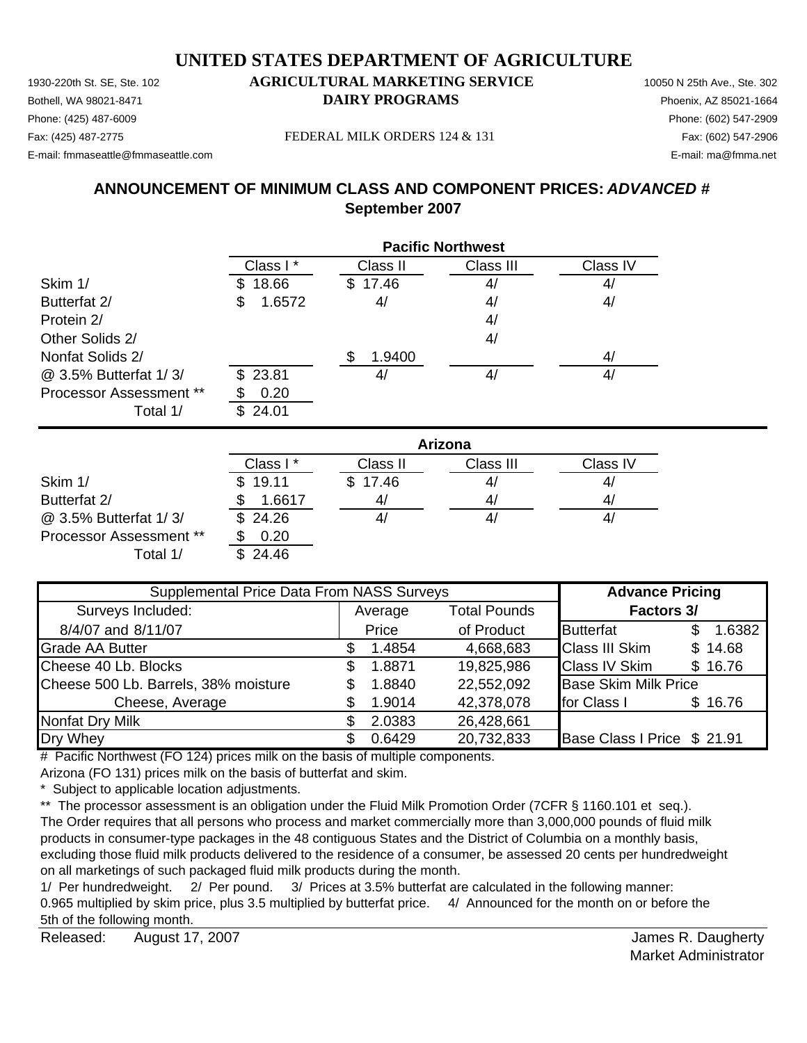**September 2007**

Bothell, WA 98021-8471 **DAIRY PROGRAMS** Phoenix, AZ 85021-1664 Phone: (425) 487-6009 Phone: (602) 547-2909 Fax: (425) 487-2775 Fax: (602) 547-2906 FEDERAL MILK ORDERS 124 & 131 E-mail: fmmaseattle@fmmaseattle.com E-mail: ma@fmma.net

**ANNOUNCEMENT OF MINIMUM CLASS AND COMPONENT PRICES:** *ADVANCED #*

|                         | <b>Pacific Northwest</b> |          |           |          |  |
|-------------------------|--------------------------|----------|-----------|----------|--|
|                         | Class I*                 | Class II | Class III | Class IV |  |
| Skim 1/                 | 18.66<br>S.              | \$17.46  | 4/        | 4/       |  |
| Butterfat 2/            | \$<br>1.6572             | 4/       | 4/        | 4/       |  |
| Protein 2/              |                          |          | 4/        |          |  |
| Other Solids 2/         |                          |          | 4/        |          |  |
| Nonfat Solids 2/        |                          | 1.9400   |           | 41       |  |
| @ 3.5% Butterfat 1/3/   | \$23.81                  | 4/       | 4/        | 41       |  |
| Processor Assessment ** | 0.20                     |          |           |          |  |
| Total 1/                | \$24.01                  |          |           |          |  |

|                         | Arizona      |          |           |                |  |
|-------------------------|--------------|----------|-----------|----------------|--|
|                         | Class I*     | Class II | Class III | Class IV       |  |
| Skim 1/                 | 19.11<br>\$. | \$17.46  | 41        | 4,             |  |
| Butterfat 2/            | 1.6617       | 4,       | 41        | 4 <sub>l</sub> |  |
| @ 3.5% Butterfat 1/3/   | \$24.26      |          | 41        | 4,             |  |
| Processor Assessment ** | 0.20         |          |           |                |  |
| Total 1/                | \$24.46      |          |           |                |  |

| Supplemental Price Data From NASS Surveys |    |         |                     | <b>Advance Pricing</b>      |         |
|-------------------------------------------|----|---------|---------------------|-----------------------------|---------|
| Surveys Included:                         |    | Average | <b>Total Pounds</b> | <b>Factors 3/</b>           |         |
| 8/4/07 and 8/11/07                        |    | Price   | of Product          | <b>Butterfat</b>            | 1.6382  |
| <b>Grade AA Butter</b>                    |    | 1.4854  | 4,668,683           | <b>Class III Skim</b>       | \$14.68 |
| Cheese 40 Lb. Blocks                      | S. | 1.8871  | 19,825,986          | <b>Class IV Skim</b>        | \$16.76 |
| Cheese 500 Lb. Barrels, 38% moisture      | S  | 1.8840  | 22,552,092          | <b>Base Skim Milk Price</b> |         |
| Cheese, Average                           |    | 1.9014  | 42,378,078          | for Class I                 | \$16.76 |
| Nonfat Dry Milk                           |    | 2.0383  | 26,428,661          |                             |         |
| Dry Whey                                  |    | 0.6429  | 20,732,833          | Base Class I Price \$ 21.91 |         |

# Pacific Northwest (FO 124) prices milk on the basis of multiple components.

Arizona (FO 131) prices milk on the basis of butterfat and skim.

\* Subject to applicable location adjustments.

\*\* The processor assessment is an obligation under the Fluid Milk Promotion Order (7CFR § 1160.101 et seq.). The Order requires that all persons who process and market commercially more than 3,000,000 pounds of fluid milk products in consumer-type packages in the 48 contiguous States and the District of Columbia on a monthly basis, excluding those fluid milk products delivered to the residence of a consumer, be assessed 20 cents per hundredweight on all marketings of such packaged fluid milk products during the month.

1/ Per hundredweight. 2/ Per pound. 3/ Prices at 3.5% butterfat are calculated in the following manner: 0.965 multiplied by skim price, plus 3.5 multiplied by butterfat price. 4/ Announced for the month on or before the 5th of the following month.

Released: August 17, 2007 **August 17, 2007 August 2007 August 2007 Released:** August 17, 2007 August 17, 2007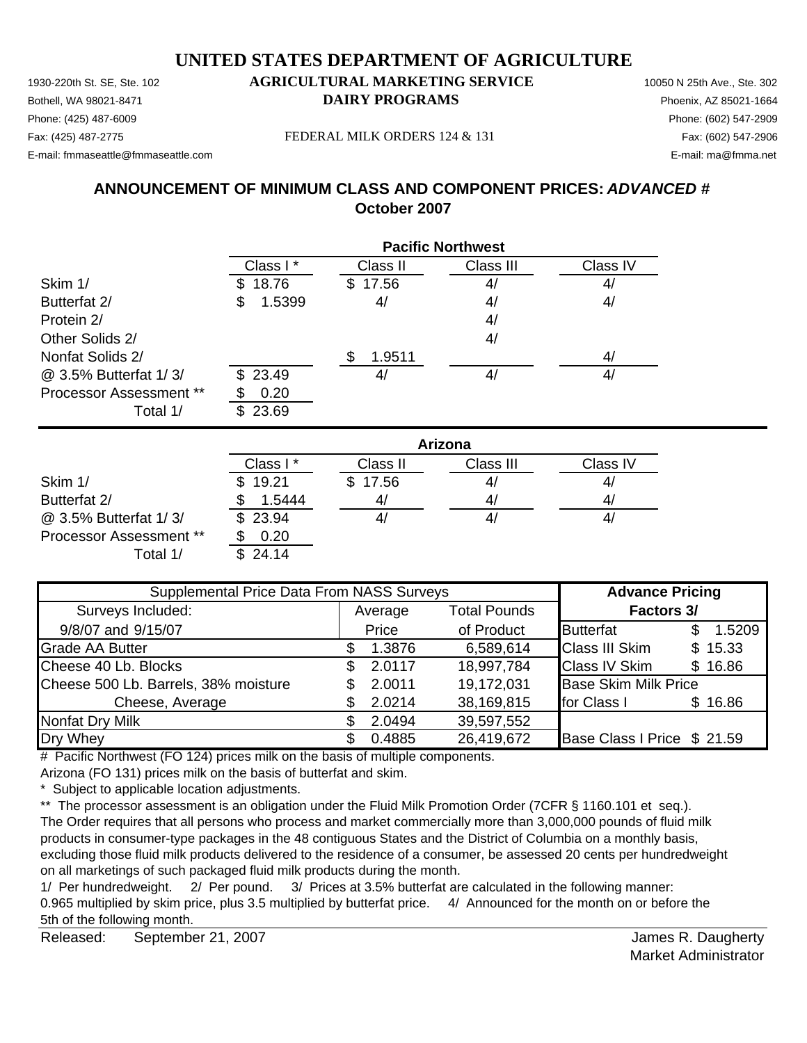1930-220th St. SE, Ste. 102 **AGRICULTURAL MARKETING SERVICE** 10050 N 25th Ave., Ste. 302 Bothell, WA 98021-8471 **DAIRY PROGRAMS** Phoenix, AZ 85021-1664 E-mail: fmmaseattle@fmmaseattle.com E-mail: ma@fmma.net

## Phone: (425) 487-6009 Phone: (602) 547-2909

Fax: (425) 487-2775 FEDERAL MILK ORDERS 124 & 131

## **ANNOUNCEMENT OF MINIMUM CLASS AND COMPONENT PRICES:** *ADVANCED #* **October 2007**

|                                | <b>Pacific Northwest</b> |                |           |                |  |
|--------------------------------|--------------------------|----------------|-----------|----------------|--|
|                                | Class I*                 | Class II       | Class III | Class IV       |  |
| Skim 1/                        | 18.76<br>S.              | 17.56<br>SS.   | 4/        | 4 <sub>l</sub> |  |
| Butterfat 2/                   | 1.5399<br>\$             | 4/             | 4/        | 4/             |  |
| Protein 2/                     |                          |                | 4/        |                |  |
| Other Solids 2/                |                          |                | 4/        |                |  |
| Nonfat Solids 2/               |                          | 1.9511         |           | 4/             |  |
| @ 3.5% Butterfat 1/3/          | \$23.49                  | 4 <sub>l</sub> | 4/        | 4/             |  |
| <b>Processor Assessment **</b> | 0.20                     |                |           |                |  |
| Total 1/                       | 23.69<br>\$.             |                |           |                |  |

|                                | Arizona  |          |           |                |  |
|--------------------------------|----------|----------|-----------|----------------|--|
|                                | Class I* | Class II | Class III | Class IV       |  |
| Skim 1/                        | \$19.21  | \$17.56  | 4/        | 4,             |  |
| Butterfat 2/                   | 1.5444   | 41       | 4/        | 4 <sub>l</sub> |  |
| @ 3.5% Butterfat 1/3/          | \$23.94  |          | 41        | 4/             |  |
| <b>Processor Assessment **</b> | 0.20     |          |           |                |  |
| Total 1/                       | \$24.14  |          |           |                |  |

| Supplemental Price Data From NASS Surveys |    |         |                     | <b>Advance Pricing</b>      |  |         |
|-------------------------------------------|----|---------|---------------------|-----------------------------|--|---------|
| Surveys Included:                         |    | Average | <b>Total Pounds</b> | <b>Factors 3/</b>           |  |         |
| 9/8/07 and 9/15/07                        |    | Price   | of Product          | <b>Butterfat</b>            |  | 1.5209  |
| <b>Grade AA Butter</b>                    |    | 1.3876  | 6,589,614           | <b>Class III Skim</b>       |  | \$15.33 |
| Cheese 40 Lb. Blocks                      | \$ | 2.0117  | 18,997,784          | <b>Class IV Skim</b>        |  | \$16.86 |
| Cheese 500 Lb. Barrels, 38% moisture      |    | 2.0011  | 19,172,031          | <b>Base Skim Milk Price</b> |  |         |
| Cheese, Average                           |    | 2.0214  | 38,169,815          | for Class I                 |  | \$16.86 |
| <b>Nonfat Dry Milk</b>                    |    | 2.0494  | 39,597,552          |                             |  |         |
| Dry Whey                                  |    | 0.4885  | 26,419,672          | Base Class I Price \$ 21.59 |  |         |

# Pacific Northwest (FO 124) prices milk on the basis of multiple components.

Arizona (FO 131) prices milk on the basis of butterfat and skim.

\* Subject to applicable location adjustments.

\*\* The processor assessment is an obligation under the Fluid Milk Promotion Order (7CFR § 1160.101 et seq.). The Order requires that all persons who process and market commercially more than 3,000,000 pounds of fluid milk products in consumer-type packages in the 48 contiguous States and the District of Columbia on a monthly basis, excluding those fluid milk products delivered to the residence of a consumer, be assessed 20 cents per hundredweight on all marketings of such packaged fluid milk products during the month.

1/ Per hundredweight. 2/ Per pound. 3/ Prices at 3.5% butterfat are calculated in the following manner: 0.965 multiplied by skim price, plus 3.5 multiplied by butterfat price. 4/ Announced for the month on or before the 5th of the following month.

Released: James R. Daugherty September 21, 2007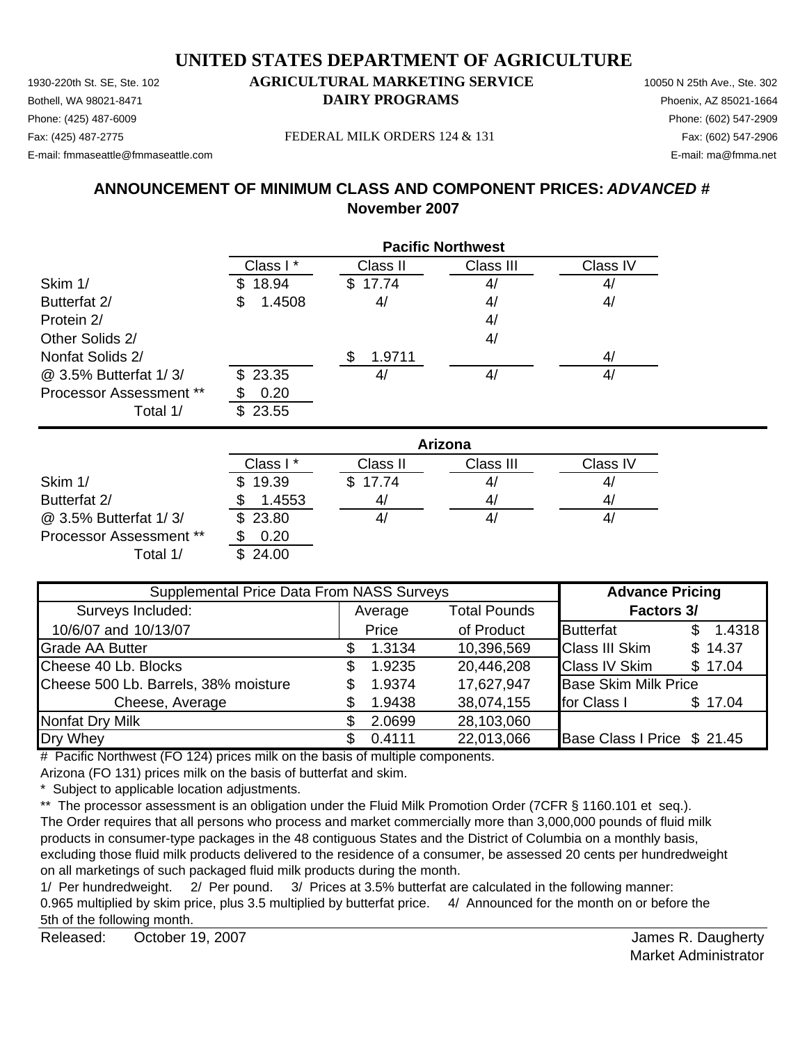Bothell, WA 98021-8471 **DAIRY PROGRAMS** Phoenix, AZ 85021-1664 Phone: (425) 487-6009 Phone: (602) 547-2909

#### Fax: (425) 487-2775 FEDERAL MILK ORDERS 124 & 131

E-mail: fmmaseattle@fmmaseattle.com E-mail: ma@fmma.net

### **ANNOUNCEMENT OF MINIMUM CLASS AND COMPONENT PRICES:** *ADVANCED #* **November 2007**

|                                | <b>Pacific Northwest</b> |          |           |          |  |  |
|--------------------------------|--------------------------|----------|-----------|----------|--|--|
|                                | Class I*                 | Class II | Class III | Class IV |  |  |
| Skim 1/                        | 18.94<br>S.              | \$17.74  | 4/        | 4/       |  |  |
| Butterfat 2/                   | 1.4508<br>\$             | 4/       | 4/        | 4/       |  |  |
| Protein 2/                     |                          |          | 4/        |          |  |  |
| Other Solids 2/                |                          |          | 4/        |          |  |  |
| Nonfat Solids 2/               |                          | 1.9711   |           | 4/       |  |  |
| @ 3.5% Butterfat 1/3/          | \$23.35                  | 4,       | 4/        | 4/       |  |  |
| <b>Processor Assessment **</b> | 0.20                     |          |           |          |  |  |
| Total 1/                       | 23.55<br>\$.             |          |           |          |  |  |

|                                | Arizona      |                |           |          |  |
|--------------------------------|--------------|----------------|-----------|----------|--|
|                                | Class I*     | Class II       | Class III | Class IV |  |
| Skim 1/                        | 19.39<br>\$. | \$17.74        | 41        | 4,       |  |
| Butterfat 2/                   | 1.4553       | 4 <sub>l</sub> | 41        | 4,       |  |
| @ 3.5% Butterfat 1/3/          | \$23.80      |                | 41        | 4/       |  |
| <b>Processor Assessment **</b> | 0.20         |                |           |          |  |
| Total 1/                       | \$24.00      |                |           |          |  |

| Supplemental Price Data From NASS Surveys | <b>Advance Pricing</b> |                     |                             |         |
|-------------------------------------------|------------------------|---------------------|-----------------------------|---------|
| Surveys Included:                         | Average                | <b>Total Pounds</b> | <b>Factors 3/</b>           |         |
| 10/6/07 and 10/13/07                      | Price                  | of Product          | <b>Butterfat</b>            | 1.4318  |
| <b>Grade AA Butter</b>                    | 1.3134                 | 10,396,569          | <b>Class III Skim</b>       | \$14.37 |
| Cheese 40 Lb. Blocks                      | 1.9235                 | 20,446,208          | <b>Class IV Skim</b>        | \$17.04 |
| Cheese 500 Lb. Barrels, 38% moisture      | 1.9374                 | 17,627,947          | <b>Base Skim Milk Price</b> |         |
| Cheese, Average                           | 1.9438                 | 38,074,155          | for Class I                 | \$17.04 |
| <b>Nonfat Dry Milk</b>                    | 2.0699                 | 28,103,060          |                             |         |
| Dry Whey                                  | 0.4111                 | 22,013,066          | Base Class I Price \$ 21.45 |         |

# Pacific Northwest (FO 124) prices milk on the basis of multiple components.

Arizona (FO 131) prices milk on the basis of butterfat and skim.

\* Subject to applicable location adjustments.

\*\* The processor assessment is an obligation under the Fluid Milk Promotion Order (7CFR § 1160.101 et seq.). The Order requires that all persons who process and market commercially more than 3,000,000 pounds of fluid milk products in consumer-type packages in the 48 contiguous States and the District of Columbia on a monthly basis, excluding those fluid milk products delivered to the residence of a consumer, be assessed 20 cents per hundredweight on all marketings of such packaged fluid milk products during the month.

1/ Per hundredweight. 2/ Per pound. 3/ Prices at 3.5% butterfat are calculated in the following manner: 0.965 multiplied by skim price, plus 3.5 multiplied by butterfat price. 4/ Announced for the month on or before the 5th of the following month.

Released: October 19, 2007 **Canadian Control Control Control Control Control Control Control Control Control Control Control Control Control Control Control Control Control Control Control Control Control Control Control C** October 19, 2007

Market Administrator